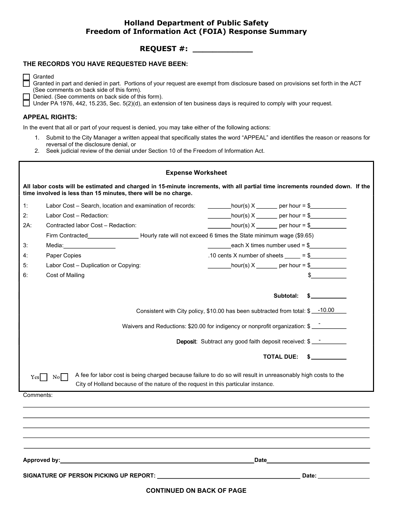# Holland Department of Public Safety Freedom of Information Act (FOIA) Response Summary REQUEST #: \_\_\_\_\_\_\_\_\_\_\_\_

# THE RECORDS YOU HAVE REQUESTED HAVE BEEN:

Granted in part and denied in part. Portions of your request are exempt from disclosure based on provisions set forth in the ACT (See comments on back side of this form). **Holland Department of Public Safety<br>
Freedom of Information Act (FOIA) Response Summary<br>
RECORDS YOU HAVE REQUESTED HAVE BEEN:<br>
Granted<br>
Granted in part and denied in part. Portions of your request are exempt from disclos** 

# APPEAL RIGHTS:

- reversal of the disclosure denial, or<br>
2. Seek judicial review of the denial under Section 10 of the Freedom of Information Act.
- 

| <b>Holland Department of Public Safety</b><br><b>Freedom of Information Act (FOIA) Response Summary</b>                                                                                                                                                                                                                                                               |                                                                                                                                 |
|-----------------------------------------------------------------------------------------------------------------------------------------------------------------------------------------------------------------------------------------------------------------------------------------------------------------------------------------------------------------------|---------------------------------------------------------------------------------------------------------------------------------|
| <b>REQUEST #: ______________</b>                                                                                                                                                                                                                                                                                                                                      |                                                                                                                                 |
| THE RECORDS YOU HAVE REQUESTED HAVE BEEN:                                                                                                                                                                                                                                                                                                                             |                                                                                                                                 |
| Granted<br>Granted in part and denied in part. Portions of your request are exempt from disclosure based on provisions set forth in the ACT<br>(See comments on back side of this form).<br>Denied. (See comments on back side of this form).<br>Under PA 1976, 442, 15.235, Sec. 5(2)(d), an extension of ten business days is required to comply with your request. |                                                                                                                                 |
| <b>APPEAL RIGHTS:</b>                                                                                                                                                                                                                                                                                                                                                 |                                                                                                                                 |
| In the event that all or part of your request is denied, you may take either of the following actions:<br>1.<br>reversal of the disclosure denial, or<br>2. Seek judicial review of the denial under Section 10 of the Freedom of Information Act.                                                                                                                    | Submit to the City Manager a written appeal that specifically states the word "APPEAL" and identifies the reason or reasons for |
| <b>Expense Worksheet</b>                                                                                                                                                                                                                                                                                                                                              |                                                                                                                                 |
| All labor costs will be estimated and charged in 15-minute increments, with all partial time increments rounded down. If the<br>time involved is less than 15 minutes, there will be no charge.                                                                                                                                                                       |                                                                                                                                 |
| 1:<br>Labor Cost – Search, location and examination of records:                                                                                                                                                                                                                                                                                                       | $\frac{1}{2}$ hour(s) X ________ per hour = \$                                                                                  |
| 2:<br>Labor Cost - Redaction:                                                                                                                                                                                                                                                                                                                                         | $\frac{1}{\sqrt{1-\frac{1}{2}}}\text{hour(s)} \times \frac{1}{\sqrt{1-\frac{1}{2}}}\text{ per hour} = \frac{1}{2}$              |
| $2A$ :<br>Contracted labor Cost - Redaction:                                                                                                                                                                                                                                                                                                                          | $\frac{1}{2}$ hour(s) X _______ per hour = \$                                                                                   |
| Firm Contracted__________________________Hourly rate will not exceed 6 times the State minimum wage (\$9.65)                                                                                                                                                                                                                                                          |                                                                                                                                 |
| 3:<br>Media:_________________                                                                                                                                                                                                                                                                                                                                         | $\frac{1}{2}$ each X times number used = \$                                                                                     |
| 4:<br>Paper Copies                                                                                                                                                                                                                                                                                                                                                    | .10 cents X number of sheets<br>$=$ \$                                                                                          |
| 5:<br>Labor Cost - Duplication or Copying:<br>Cost of Mailing<br>6:                                                                                                                                                                                                                                                                                                   | $\frac{1}{2} \text{hour(s)} \times \frac{1}{2} \text{ per hour} = \frac{1}{2} \text{ cm}$                                       |
|                                                                                                                                                                                                                                                                                                                                                                       | Subtotal:<br>$\mathbb{S}$ . The set of $\mathbb{S}$                                                                             |
|                                                                                                                                                                                                                                                                                                                                                                       | Consistent with City policy, \$10.00 has been subtracted from total: \$ __-10.00                                                |
|                                                                                                                                                                                                                                                                                                                                                                       | Waivers and Reductions: \$20.00 for indigency or nonprofit organization: \$                                                     |
|                                                                                                                                                                                                                                                                                                                                                                       | <b>Deposit:</b> Subtract any good faith deposit received: \$ __________                                                         |
|                                                                                                                                                                                                                                                                                                                                                                       | TOTAL DUE: \$                                                                                                                   |
| $\overline{N_0}$<br>Yes<br>City of Holland because of the nature of the request in this particular instance.                                                                                                                                                                                                                                                          | A fee for labor cost is being charged because failure to do so will result in unreasonably high costs to the                    |
| Comments:                                                                                                                                                                                                                                                                                                                                                             |                                                                                                                                 |
|                                                                                                                                                                                                                                                                                                                                                                       |                                                                                                                                 |
|                                                                                                                                                                                                                                                                                                                                                                       |                                                                                                                                 |
|                                                                                                                                                                                                                                                                                                                                                                       |                                                                                                                                 |
| Approved by: <u>Approved by:</u> Approved by: Approved by: Approved by: Approved by: Approved by: Approved by: Approved by: Approved by: Approved by: Approved by: Approved by: Approved by: Approved by: Approved by: Approved by:                                                                                                                                   | Date<br>the control of the control of the control of the control of the control of                                              |
|                                                                                                                                                                                                                                                                                                                                                                       | Date: ________________                                                                                                          |
| <b>CONTINUED ON BACK OF PAGE</b>                                                                                                                                                                                                                                                                                                                                      |                                                                                                                                 |